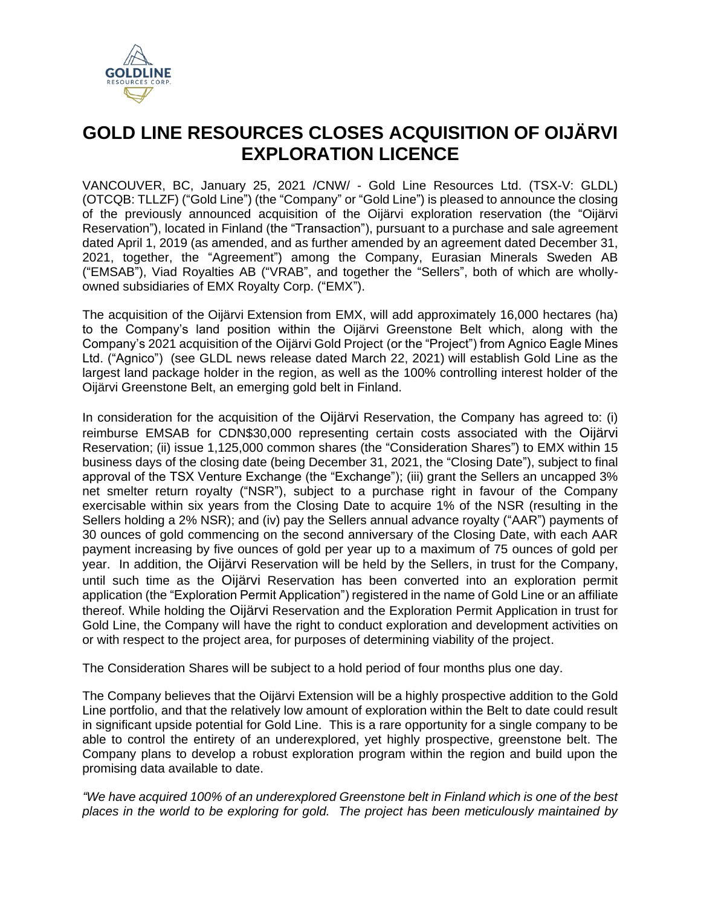

# **GOLD LINE RESOURCES CLOSES ACQUISITION OF OIJÄRVI EXPLORATION LICENCE**

VANCOUVER, BC, January 25, 2021 /CNW/ - Gold Line Resources Ltd. (TSX-V: GLDL) (OTCQB: TLLZF) ("Gold Line") (the "Company" or "Gold Line") is pleased to announce the closing of the previously announced acquisition of the Oijärvi exploration reservation (the "Oijärvi Reservation"), located in Finland (the "Transaction"), pursuant to a purchase and sale agreement dated April 1, 2019 (as amended, and as further amended by an agreement dated December 31, 2021, together, the "Agreement") among the Company, Eurasian Minerals Sweden AB ("EMSAB"), Viad Royalties AB ("VRAB", and together the "Sellers", both of which are whollyowned subsidiaries of EMX Royalty Corp. ("EMX").

The acquisition of the Oijärvi Extension from EMX, will add approximately 16,000 hectares (ha) to the Company's land position within the Oijärvi Greenstone Belt which, along with the Company's 2021 acquisition of the Oijärvi Gold Project (or the "Project") from Agnico Eagle Mines Ltd. ("Agnico") (see GLDL news release dated March 22, 2021) will establish Gold Line as the largest land package holder in the region, as well as the 100% controlling interest holder of the Oijärvi Greenstone Belt, an emerging gold belt in Finland.

In consideration for the acquisition of the Oijärvi Reservation, the Company has agreed to: (i) reimburse EMSAB for CDN\$30,000 representing certain costs associated with the Oijärvi Reservation; (ii) issue 1,125,000 common shares (the "Consideration Shares") to EMX within 15 business days of the closing date (being December 31, 2021, the "Closing Date"), subject to final approval of the TSX Venture Exchange (the "Exchange"); (iii) grant the Sellers an uncapped 3% net smelter return royalty ("NSR"), subject to a purchase right in favour of the Company exercisable within six years from the Closing Date to acquire 1% of the NSR (resulting in the Sellers holding a 2% NSR); and (iv) pay the Sellers annual advance royalty ("AAR") payments of 30 ounces of gold commencing on the second anniversary of the Closing Date, with each AAR payment increasing by five ounces of gold per year up to a maximum of 75 ounces of gold per year. In addition, the Oijärvi Reservation will be held by the Sellers, in trust for the Company, until such time as the Oijärvi Reservation has been converted into an exploration permit application (the "Exploration Permit Application") registered in the name of Gold Line or an affiliate thereof. While holding the Oijärvi Reservation and the Exploration Permit Application in trust for Gold Line, the Company will have the right to conduct exploration and development activities on or with respect to the project area, for purposes of determining viability of the project.

The Consideration Shares will be subject to a hold period of four months plus one day.

The Company believes that the Oijärvi Extension will be a highly prospective addition to the Gold Line portfolio, and that the relatively low amount of exploration within the Belt to date could result in significant upside potential for Gold Line. This is a rare opportunity for a single company to be able to control the entirety of an underexplored, yet highly prospective, greenstone belt. The Company plans to develop a robust exploration program within the region and build upon the promising data available to date.

*"We have acquired 100% of an underexplored Greenstone belt in Finland which is one of the best places in the world to be exploring for gold. The project has been meticulously maintained by*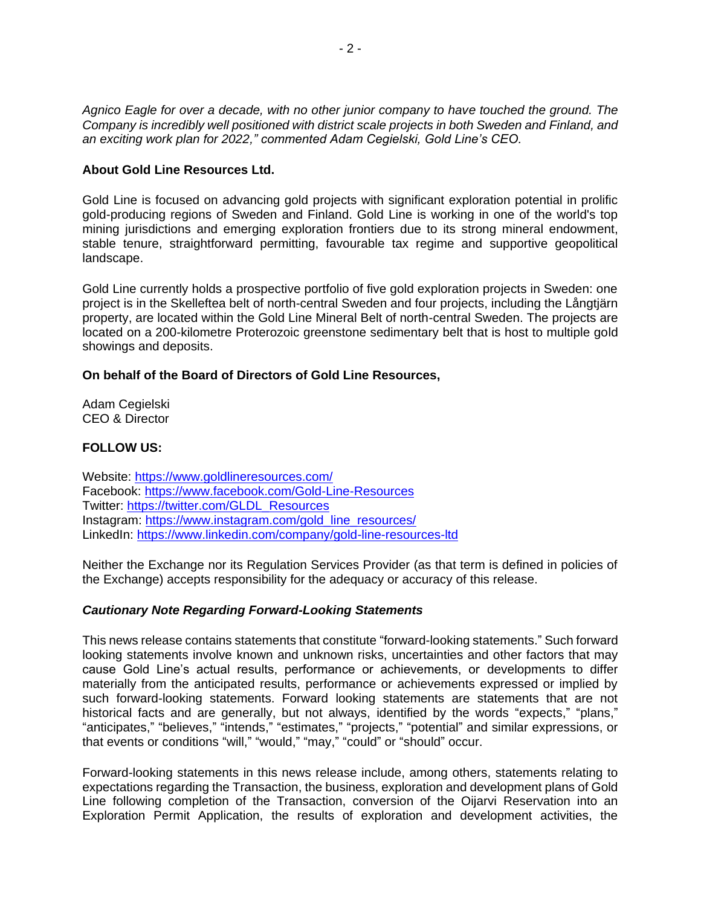*Agnico Eagle for over a decade, with no other junior company to have touched the ground. The Company is incredibly well positioned with district scale projects in both Sweden and Finland, and an exciting work plan for 2022," commented Adam Cegielski, Gold Line's CEO.*

### **About Gold Line Resources Ltd.**

Gold Line is focused on advancing gold projects with significant exploration potential in prolific gold-producing regions of Sweden and Finland. Gold Line is working in one of the world's top mining jurisdictions and emerging exploration frontiers due to its strong mineral endowment, stable tenure, straightforward permitting, favourable tax regime and supportive geopolitical landscape.

Gold Line currently holds a prospective portfolio of five gold exploration projects in Sweden: one project is in the Skelleftea belt of north-central Sweden and four projects, including the Långtjärn property, are located within the Gold Line Mineral Belt of north-central Sweden. The projects are located on a 200-kilometre Proterozoic greenstone sedimentary belt that is host to multiple gold showings and deposits.

#### **On behalf of the Board of Directors of Gold Line Resources,**

Adam Cegielski CEO & Director

## **FOLLOW US:**

Website:<https://www.goldlineresources.com/> Facebook:<https://www.facebook.com/Gold-Line-Resources> Twitter: [https://twitter.com/GLDL\\_Resources](https://twitter.com/GLDL_Resources) Instagram: [https://www.instagram.com/gold\\_line\\_resources/](https://www.instagram.com/gold_line_resources/) LinkedIn:<https://www.linkedin.com/company/gold-line-resources-ltd>

Neither the Exchange nor its Regulation Services Provider (as that term is defined in policies of the Exchange) accepts responsibility for the adequacy or accuracy of this release.

#### *Cautionary Note Regarding Forward-Looking Statements*

This news release contains statements that constitute "forward-looking statements." Such forward looking statements involve known and unknown risks, uncertainties and other factors that may cause Gold Line's actual results, performance or achievements, or developments to differ materially from the anticipated results, performance or achievements expressed or implied by such forward-looking statements. Forward looking statements are statements that are not historical facts and are generally, but not always, identified by the words "expects," "plans," "anticipates," "believes," "intends," "estimates," "projects," "potential" and similar expressions, or that events or conditions "will," "would," "may," "could" or "should" occur.

Forward-looking statements in this news release include, among others, statements relating to expectations regarding the Transaction, the business, exploration and development plans of Gold Line following completion of the Transaction, conversion of the Oijarvi Reservation into an Exploration Permit Application, the results of exploration and development activities, the